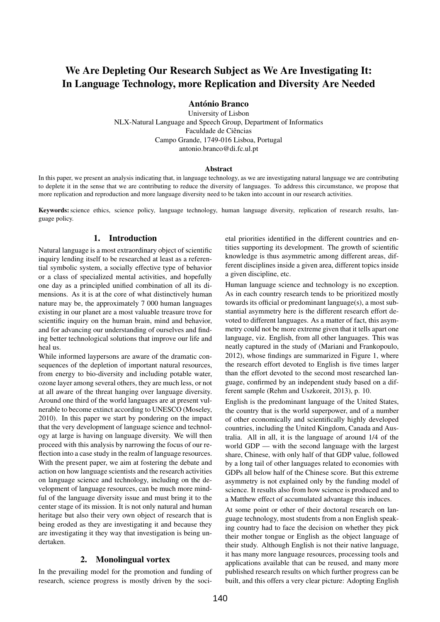# We Are Depleting Our Research Subject as We Are Investigating It: In Language Technology, more Replication and Diversity Are Needed

António Branco

University of Lisbon NLX-Natural Language and Speech Group, Department of Informatics Faculdade de Ciências Campo Grande, 1749-016 Lisboa, Portugal antonio.branco@di.fc.ul.pt

#### Abstract

In this paper, we present an analysis indicating that, in language technology, as we are investigating natural language we are contributing to deplete it in the sense that we are contributing to reduce the diversity of languages. To address this circumstance, we propose that more replication and reproduction and more language diversity need to be taken into account in our research activities.

Keywords: science ethics, science policy, language technology, human language diversity, replication of research results, language policy.

## 1. Introduction

Natural language is a most extraordinary object of scientific inquiry lending itself to be researched at least as a referential symbolic system, a socially effective type of behavior or a class of specialized mental activities, and hopefully one day as a principled unified combination of all its dimensions. As it is at the core of what distinctively human nature may be, the approximately 7 000 human languages existing in our planet are a most valuable treasure trove for scientific inquiry on the human brain, mind and behavior, and for advancing our understanding of ourselves and finding better technological solutions that improve our life and heal us.

While informed laypersons are aware of the dramatic consequences of the depletion of important natural resources, from energy to bio-diversity and including potable water, ozone layer among several others, they are much less, or not at all aware of the threat hanging over language diversity. Around one third of the world languages are at present vulnerable to become extinct according to UNESCO (Moseley, 2010). In this paper we start by pondering on the impact that the very development of language science and technology at large is having on language diversity. We will then proceed with this analysis by narrowing the focus of our reflection into a case study in the realm of language resources. With the present paper, we aim at fostering the debate and action on how language scientists and the research activities on language science and technology, including on the development of language resources, can be much more mindful of the language diversity issue and must bring it to the center stage of its mission. It is not only natural and human heritage but also their very own object of research that is being eroded as they are investigating it and because they are investigating it they way that investigation is being undertaken.

## 2. Monolingual vortex

In the prevailing model for the promotion and funding of research, science progress is mostly driven by the societal priorities identified in the different countries and entities supporting its development. The growth of scientific knowledge is thus asymmetric among different areas, different disciplines inside a given area, different topics inside a given discipline, etc.

Human language science and technology is no exception. As in each country research tends to be prioritized mostly towards its official or predominant language(s), a most substantial asymmetry here is the different research effort devoted to different languages. As a matter of fact, this asymmetry could not be more extreme given that it tells apart one language, viz. English, from all other languages. This was neatly captured in the study of (Mariani and Frankopoulo, 2012), whose findings are summarized in Figure 1, where the research effort devoted to English is five times larger than the effort devoted to the second most researched language, confirmed by an independent study based on a different sample (Rehm and Uszkoreit, 2013), p. 10.

English is the predominant language of the United States, the country that is the world superpower, and of a number of other economically and scientifically highly developed countries, including the United Kingdom, Canada and Australia. All in all, it is the language of around 1/4 of the world GDP — with the second language with the largest share, Chinese, with only half of that GDP value, followed by a long tail of other languages related to economies with GDPs all below half of the Chinese score. But this extreme asymmetry is not explained only by the funding model of science. It results also from how science is produced and to a Matthew effect of accumulated advantage this induces.

At some point or other of their doctoral research on language technology, most students from a non English speaking country had to face the decision on whether they pick their mother tongue or English as the object language of their study. Although English is not their native language, it has many more language resources, processing tools and applications available that can be reused, and many more published research results on which further progress can be built, and this offers a very clear picture: Adopting English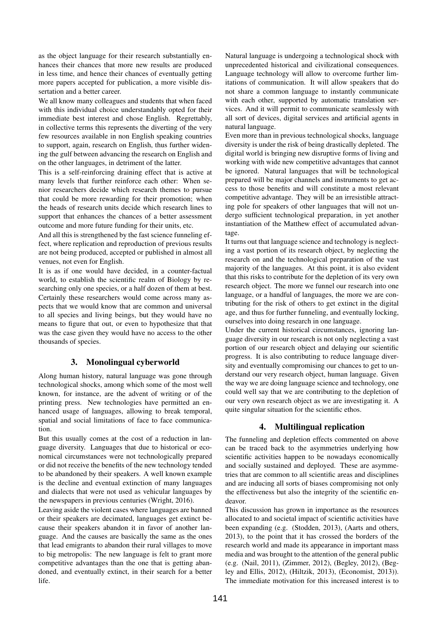as the object language for their research substantially enhances their chances that more new results are produced in less time, and hence their chances of eventually getting more papers accepted for publication, a more visible dissertation and a better career.

We all know many colleagues and students that when faced with this individual choice understandably opted for their immediate best interest and chose English. Regrettably, in collective terms this represents the diverting of the very few resources available in non English speaking countries to support, again, research on English, thus further widening the gulf between advancing the research on English and on the other languages, in detriment of the latter.

This is a self-reinforcing draining effect that is active at many levels that further reinforce each other: When senior researchers decide which research themes to pursue that could be more rewarding for their promotion; when the heads of research units decide which research lines to support that enhances the chances of a better assessment outcome and more future funding for their units, etc.

And all this is strengthened by the fast science funneling effect, where replication and reproduction of previous results are not being produced, accepted or published in almost all venues, not even for English.

It is as if one would have decided, in a counter-factual world, to establish the scientific realm of Biology by researching only one species, or a half dozen of them at best. Certainly these researchers would come across many aspects that we would know that are common and universal to all species and living beings, but they would have no means to figure that out, or even to hypothesize that that was the case given they would have no access to the other thousands of species.

# 3. Monolingual cyberworld

Along human history, natural language was gone through technological shocks, among which some of the most well known, for instance, are the advent of writing or of the printing press. New technologies have permitted an enhanced usage of languages, allowing to break temporal, spatial and social limitations of face to face communication.

But this usually comes at the cost of a reduction in language diversity. Languages that due to historical or economical circumstances were not technologically prepared or did not receive the benefits of the new technology tended to be abandoned by their speakers. A well known example is the decline and eventual extinction of many languages and dialects that were not used as vehicular languages by the newspapers in previous centuries (Wright, 2016).

Leaving aside the violent cases where languages are banned or their speakers are decimated, languages get extinct because their speakers abandon it in favor of another language. And the causes are basically the same as the ones that lead emigrants to abandon their rural villages to move to big metropolis: The new language is felt to grant more competitive advantages than the one that is getting abandoned, and eventually extinct, in their search for a better life.

Natural language is undergoing a technological shock with unprecedented historical and civilizational consequences. Language technology will allow to overcome further limitations of communication. It will allow speakers that do not share a common language to instantly communicate with each other, supported by automatic translation services. And it will permit to communicate seamlessly with all sort of devices, digital services and artificial agents in natural language.

Even more than in previous technological shocks, language diversity is under the risk of being drastically depleted. The digital world is bringing new disruptive forms of living and working with wide new competitive advantages that cannot be ignored. Natural languages that will be technological prepared will be major channels and instruments to get access to those benefits and will constitute a most relevant competitive advantage. They will be an irresistible attracting pole for speakers of other languages that will not undergo sufficient technological preparation, in yet another instantiation of the Matthew effect of accumulated advantage.

It turns out that language science and technology is neglecting a vast portion of its research object, by neglecting the research on and the technological preparation of the vast majority of the languages. At this point, it is also evident that this risks to contribute for the depletion of its very own research object. The more we funnel our research into one language, or a handful of languages, the more we are contributing for the risk of others to get extinct in the digital age, and thus for further funneling, and eventually locking, ourselves into doing research in one language.

Under the current historical circumstances, ignoring language diversity in our research is not only neglecting a vast portion of our research object and delaying our scientific progress. It is also contributing to reduce language diversity and eventually compromising our chances to get to understand our very research object, human language. Given the way we are doing language science and technology, one could well say that we are contributing to the depletion of our very own research object as we are investigating it. A quite singular situation for the scientific ethos.

# 4. Multilingual replication

The funneling and depletion effects commented on above can be traced back to the asymmetries underlying how scientific activities happen to be nowadays economically and socially sustained and deployed. These are asymmetries that are common to all scientific areas and disciplines and are inducing all sorts of biases compromising not only the effectiveness but also the integrity of the scientific endeavor.

This discussion has grown in importance as the resources allocated to and societal impact of scientific activities have been expanding (e.g. (Stodden, 2013), (Aarts and others, 2013), to the point that it has crossed the borders of the research world and made its appearance in important mass media and was brought to the attention of the general public (e.g. (Nail, 2011), (Zimmer, 2012), (Begley, 2012), (Begley and Ellis, 2012), (Hiltzik, 2013), (Economist, 2013)). The immediate motivation for this increased interest is to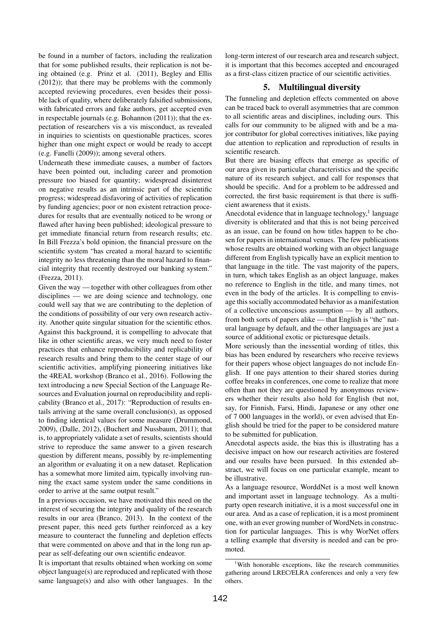be found in a number of factors, including the realization that for some published results, their replication is not being obtained (e.g. Prinz et al. (2011), Begley and Ellis (2012)); that there may be problems with the commonly accepted reviewing procedures, even besides their possible lack of quality, where deliberately falsified submissions, with fabricated errors and fake authors, get accepted even in respectable journals (e.g. Bohannon (2011)); that the expectation of researchers vis a vis misconduct, as revealed in inquiries to scientists on questionable practices, scores higher than one might expect or would be ready to accept (e.g. Fanelli (2009)); among several others.

Underneath these immediate causes, a number of factors have been pointed out, including career and promotion pressure too biased for quantity; widespread disinterest on negative results as an intrinsic part of the scientific progress; widespread disfavoring of activities of replication by funding agencies; poor or non existent retraction procedures for results that are eventually noticed to be wrong or flawed after having been published; ideological pressure to get immediate financial return from research results; etc. In Bill Frezza's bold opinion, the financial pressure on the scientific system "has created a moral hazard to scientific integrity no less threatening than the moral hazard to financial integrity that recently destroyed our banking system." (Frezza, 2011).

Given the way — together with other colleagues from other disciplines — we are doing science and technology, one could well say that we are contributing to the depletion of the conditions of possibility of our very own research activity. Another quite singular situation for the scientific ethos. Against this background, it is compelling to advocate that like in other scientific areas, we very much need to foster practices that enhance reproducibility and replicability of research results and bring them to the center stage of our scientific activities, amplifying pioneering initiatives like the 4REAL workshop (Branco et al., 2016). Following the text introducing a new Special Section of the Language Resources and Evaluation journal on reproducibility and replicability (Branco et al., 2017): "Reproduction of results entails arriving at the same overall conclusion(s), as opposed to finding identical values for some measure (Drummond, 2009), (Dalle, 2012), (Buchert and Nussbaum, 2011); that is, to appropriately validate a set of results, scientists should strive to reproduce the same answer to a given research question by different means, possibly by re-implementing an algorithm or evaluating it on a new dataset. Replication has a somewhat more limited aim, typically involving running the exact same system under the same conditions in order to arrive at the same output result."

In a previous occasion, we have motivated this need on the interest of securing the integrity and quality of the research results in our area (Branco, 2013). In the context of the present paper, this need gets further reinforced as a key measure to counteract the funneling and depletion effects that were commented on above and that in the long run appear as self-defeating our own scientific endeavor.

It is important that results obtained when working on some object language(s) are reproduced and replicated with those same language(s) and also with other languages. In the long-term interest of our research area and research subject, it is important that this becomes accepted and encouraged as a first-class citizen practice of our scientific activities.

## 5. Multilingual diversity

The funneling and depletion effects commented on above can be traced back to overall asymmetries that are common to all scientific areas and disciplines, including ours. This calls for our community to be aligned with and be a major contributor for global correctives initiatives, like paying due attention to replication and reproduction of results in scientific research.

But there are biasing effects that emerge as specific of our area given its particular characteristics and the specific nature of its research subject, and call for responses that should be specific. And for a problem to be addressed and corrected, the first basic requirement is that there is sufficient awareness that it exists.

Anecdotal evidence that in language technology, $<sup>1</sup>$  language</sup> diversity is obliterated and that this is not being perceived as an issue, can be found on how titles happen to be chosen for papers in international venues. The few publications whose results are obtained working with an object language different from English typically have an explicit mention to that language in the title. The vast majority of the papers, in turn, which takes English as an object language, makes no reference to English in the title, and many times, not even in the body of the articles. It is compelling to envisage this socially accommodated behavior as a manifestation of a collective unconscious assumption — by all authors, from both sorts of papers alike — that English is "the" natural language by default, and the other languages are just a source of additional exotic or picturesque details.

More seriously than the inessential wording of titles, this bias has been endured by researchers who receive reviews for their papers whose object languages do not include English. If one pays attention to their shared stories during coffee breaks in conferences, one come to realize that more often than not they are questioned by anonymous reviewers whether their results also hold for English (but not, say, for Finnish, Farsi, Hindi, Japanese or any other one of 7 000 languages in the world), or even advised that English should be tried for the paper to be considered mature to be submitted for publication.

Anecdotal aspects aside, the bias this is illustrating has a decisive impact on how our research activities are fostered and our results have been pursued. In this extended abstract, we will focus on one particular example, meant to be illustrative.

As a language resource, WorddNet is a most well known and important asset in language technology. As a multiparty open research initiative, it is a most successful one in our area. And as a case of replication, it is a most prominent one, with an ever growing number of WordNets in construction for particular languages. This is why WorNet offers a telling example that diversity is needed and can be promoted.

<sup>&</sup>lt;sup>1</sup>With honorable exceptions, like the research communities gathering around LREC/ELRA conferences and only a very few others.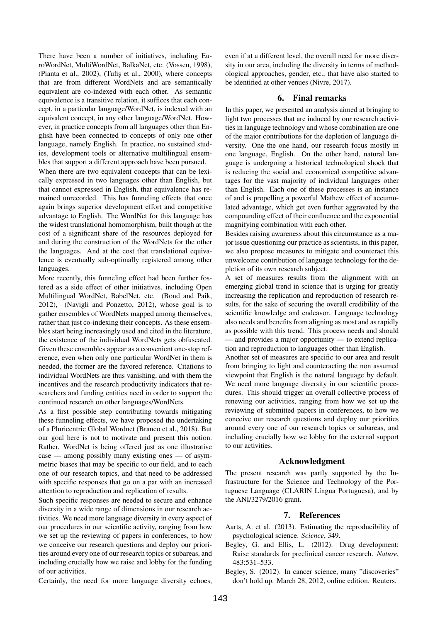There have been a number of initiatives, including EuroWordNet, MultiWordNet, BalkaNet, etc. (Vossen, 1998), (Pianta et al., 2002), (Tufis et al., 2000), where concepts that are from different WordNets and are semantically equivalent are co-indexed with each other. As semantic equivalence is a transitive relation, it suffices that each concept, in a particular language/WordNet, is indexed with an equivalent concept, in any other language/WordNet. However, in practice concepts from all languages other than English have been connected to concepts of only one other language, namely English. In practice, no sustained studies, development tools or alternative multilingual ensembles that support a different approach have been pursued.

When there are two equivalent concepts that can be lexically expressed in two languages other than English, but that cannot expressed in English, that equivalence has remained unrecorded. This has funneling effects that once again brings superior development effort and competitive advantage to English. The WordNet for this language has the widest translational homomorphism, built though at the cost of a significant share of the resources deployed for and during the construction of the WordNets for the other the languages. And at the cost that translational equivalence is eventually sub-optimally registered among other languages.

More recently, this funneling effect had been further fostered as a side effect of other initiatives, including Open Multilingual WordNet, BabelNet, etc. (Bond and Paik, 2012), (Navigli and Ponzetto, 2012), whose goal is to gather ensembles of WordNets mapped among themselves, rather than just co-indexing their concepts. As these ensembles start being increasingly used and cited in the literature, the existence of the individual WordNets gets obfuscated. Given these ensembles appear as a convenient one-stop reference, even when only one particular WordNet in them is needed, the former are the favored reference. Citations to individual WordNets are thus vanishing, and with them the incentives and the research productivity indicators that researchers and funding entities need in order to support the continued research on other languages/WordNets.

As a first possible step contributing towards mitigating these funneling effects, we have proposed the undertaking of a Pluricentric Global Wordnet (Branco et al., 2018). But our goal here is not to motivate and present this notion. Rather, WordNet is being offered just as one illustrative case — among possibly many existing ones — of asymmetric biases that may be specific to our field, and to each one of our research topics, and that need to be addressed with specific responses that go on a par with an increased attention to reproduction and replication of results.

Such specific responses are needed to secure and enhance diversity in a wide range of dimensions in our research activities. We need more language diversity in every aspect of our procedures in our scientific activity, ranging from how we set up the reviewing of papers in conferences, to how we conceive our research questions and deploy our priorities around every one of our research topics or subareas, and including crucially how we raise and lobby for the funding of our activities.

Certainly, the need for more language diversity echoes,

even if at a different level, the overall need for more diversity in our area, including the diversity in terms of methodological approaches, gender, etc., that have also started to be identified at other venues (Nivre, 2017).

#### 6. Final remarks

In this paper, we presented an analysis aimed at bringing to light two processes that are induced by our research activities in language technology and whose combination are one of the major contributions for the depletion of language diversity. One the one hand, our research focus mostly in one language, English. On the other hand, natural language is undergoing a historical technological shock that is reducing the social and economical competitive advantages for the vast majority of individual languages other than English. Each one of these processes is an instance of and is propelling a powerful Mathew effect of accumulated advantage, which get even further aggravated by the compounding effect of their confluence and the exponential magnifying combination with each other.

Besides raising awareness about this circumstance as a major issue questioning our practice as scientists, in this paper, we also propose measures to mitigate and counteract this unwelcome contribution of language technology for the depletion of its own research subject.

A set of measures results from the alignment with an emerging global trend in science that is urging for greatly increasing the replication and reproduction of research results, for the sake of securing the overall credibility of the scientific knowledge and endeavor. Language technology also needs and benefits from aligning as most and as rapidly as possible with this trend. This process needs and should — and provides a major opportunity — to extend replication and reproduction to languages other than English.

Another set of measures are specific to our area and result from bringing to light and counteracting the non assumed viewpoint that English is the natural language by default. We need more language diversity in our scientific procedures. This should trigger an overall collective process of renewing our activities, ranging from how we set up the reviewing of submitted papers in conferences, to how we conceive our research questions and deploy our priorities around every one of our research topics or subareas, and including crucially how we lobby for the external support to our activities.

#### Acknowledgment

The present research was partly supported by the Infrastructure for the Science and Technology of the Portuguese Language (CLARIN Língua Portuguesa), and by the ANI/3279/2016 grant.

## 7. References

- Aarts, A. et al. (2013). Estimating the reproducibility of psychological science. *Science*, 349.
- Begley, G. and Ellis, L. (2012). Drug development: Raise standards for preclinical cancer research. *Nature*, 483:531–533.
- Begley, S. (2012). In cancer science, many "discoveries" don't hold up. March 28, 2012, online edition. Reuters.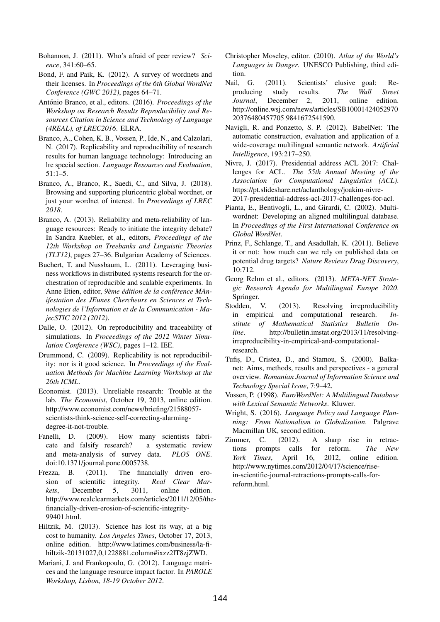- Bohannon, J. (2011). Who's afraid of peer review? *Science*, 341:60–65.
- Bond, F. and Paik, K. (2012). A survey of wordnets and their licenses. In *Proceedings of the 6th Global WordNet Conference (GWC 2012)*, pages 64–71.
- António Branco, et al., editors. (2016). Proceedings of the *Workshop on Research Results Reproducibility and Resources Citation in Science and Technology of Language (4REAL), of LREC2016*. ELRA.
- Branco, A., Cohen, K. B., Vossen, P., Ide, N., and Calzolari, N. (2017). Replicability and reproducibility of research results for human language technology: Introducing an lre special section. *Language Resources and Evaluation*, 51:1–5.
- Branco, A., Branco, R., Saedi, C., and Silva, J. (2018). Browsing and supporting pluricentric global wordnet, or just your wordnet of interest. In *Proceedings of LREC 2018*.
- Branco, A. (2013). Reliability and meta-reliability of language resources: Ready to initiate the integrity debate? In Sandra Kuebler, et al., editors, *Proceedings of the 12th Workshop on Treebanks and Linguistic Theories (TLT12)*, pages 27–36. Bulgarian Academy of Sciences.
- Buchert, T. and Nussbaum, L. (2011). Leveraging business workflows in distributed systems research for the orchestration of reproducible and scalable experiments. In Anne Etien, editor, *9eme ` edition de la conf ´ erence MAn- ´ ifestation des JEunes Chercheurs en Sciences et Technologies de l'Information et de la Communication - MajecSTIC 2012 (2012)*.
- Dalle, O. (2012). On reproducibility and traceability of simulations. In *Proceedings of the 2012 Winter Simulation Conference (WSC)*, pages 1–12. IEE.
- Drummond, C. (2009). Replicability is not reproducibility: nor is it good science. In *Proceedings of the Evaluation Methods for Machine Learning Workshop at the 26th ICML*.
- Economist. (2013). Unreliable research: Trouble at the lab. *The Economist*, October 19, 2013, online edition. http://www.economist.com/news/briefing/21588057 scientists-think-science-self-correcting-alarmingdegree-it-not-trouble.
- Fanelli, D. (2009). How many scientists fabricate and falsify research? a systematic review and meta-analysis of survey data. *PLOS ONE*. doi:10.1371/journal.pone.0005738.
- Frezza, B. (2011). The financially driven erosion of scientific integrity. *Real Clear Markets*, December 5, 3011, online edition. http://www.realclearmarkets.com/articles/2011/12/05/thefinancially-driven-erosion-of-scientific-integrity-99401.html.
- Hiltzik, M. (2013). Science has lost its way, at a big cost to humanity. *Los Angeles Times*, October 17, 2013, online edition. http://www.latimes.com/business/la-fihiltzik-20131027,0,1228881.column#ixzz2lT8zjZWD.
- Mariani, J. and Frankopoulo, G. (2012). Language matrices and the language resource impact factor. In *PAROLE Workshop, Lisbon, 18-19 October 2012*.
- Christopher Moseley, editor. (2010). *Atlas of the World's Languages in Danger*. UNESCO Publishing, third edition.
- Nail, G. (2011). Scientists' elusive goal: Reproducing study results. *The Wall Street Journal*, December 2, 2011, online edition. http://online.wsj.com/news/articles/SB10001424052970 20376480457705 9841672541590.
- Navigli, R. and Ponzetto, S. P. (2012). BabelNet: The automatic construction, evaluation and application of a wide-coverage multilingual semantic network. *Artificial Intelligence*, 193:217–250.
- Nivre, J. (2017). Presidential address ACL 2017: Challenges for ACL. *The 55th Annual Meeting of the Association for Computational Linguistics (ACL)*. https://pt.slideshare.net/aclanthology/joakim-nivre-2017-presidential-address-acl-2017-challenges-for-acl.
- Pianta, E., Bentivogli, L., and Girardi, C. (2002). Multiwordnet: Developing an aligned multilingual database. In *Proceedings of the First International Conference on Global WordNet*.
- Prinz, F., Schlange, T., and Asadullah, K. (2011). Believe it or not: how much can we rely on published data on potential drug targets? *Nature Reviews Drug Discovery*, 10:712.
- Georg Rehm et al., editors. (2013). *META-NET Strategic Research Agenda for Multilingual Europe 2020*. Springer.
- Stodden, V. (2013). Resolving irreproducibility in empirical and computational research. *Institute of Mathematical Statistics Bulletin Online*. http://bulletin.imstat.org/2013/11/resolvingirreproducibility-in-empirical-and-computationalresearch.
- Tufis¸, D., Cristea, D., and Stamou, S. (2000). Balkanet: Aims, methods, results and perspectives - a general overview. *Romanian Journal of Information Science and Technology Special Issue*, 7:9–42.
- Vossen, P. (1998). *EuroWordNet: A Multilingual Database with Lexical Semantic Networks*. Kluwer.
- Wright, S. (2016). *Language Policy and Language Planning: From Nationalism to Globalisation*. Palgrave Macmillan UK, second edition.
- Zimmer, C. (2012). A sharp rise in retractions prompts calls for reform. *The New York Times*, April 16, 2012, online edition. http://www.nytimes.com/2012/04/17/science/risein-scientific-journal-retractions-prompts-calls-forreform.html.